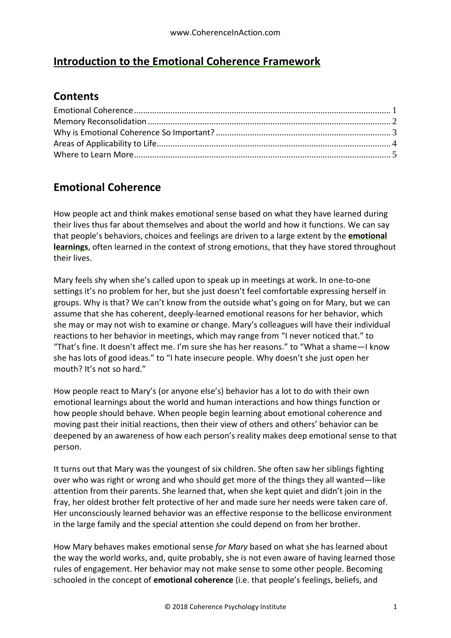### **Introduction to the Emotional Coherence Framework**

### **Contents**

### <span id="page-0-0"></span>**Emotional Coherence**

How people act and think makes emotional sense based on what they have learned during their lives thus far about themselves and about the world and how it functions. We can say that people's behaviors, choices and feelings are driven to a large extent by the **emotional learnings**, often learned in the context of strong emotions, that they have stored throughout their lives.

Mary feels shy when she's called upon to speak up in meetings at work. In one-to-one settings it's no problem for her, but she just doesn't feel comfortable expressing herself in groups. Why is that? We can't know from the outside what's going on for Mary, but we can assume that she has coherent, deeply-learned emotional reasons for her behavior, which she may or may not wish to examine or change. Mary's colleagues will have their individual reactions to her behavior in meetings, which may range from "I never noticed that." to "That's fine. It doesn't affect me. I'm sure she has her reasons." to "What a shame—I know she has lots of good ideas." to "I hate insecure people. Why doesn't she just open her mouth? It's not so hard."

How people react to Mary's (or anyone else's) behavior has a lot to do with their own emotional learnings about the world and human interactions and how things function or how people should behave. When people begin learning about emotional coherence and moving past their initial reactions, then their view of others and others' behavior can be deepened by an awareness of how each person's reality makes deep emotional sense to that person.

It turns out that Mary was the youngest of six children. She often saw her siblings fighting over who was right or wrong and who should get more of the things they all wanted—like attention from their parents. She learned that, when she kept quiet and didn't join in the fray, her oldest brother felt protective of her and made sure her needs were taken care of. Her unconsciously learned behavior was an effective response to the bellicose environment in the large family and the special attention she could depend on from her brother.

How Mary behaves makes emotional sense *for Mary* based on what she has learned about the way the world works, and, quite probably, she is not even aware of having learned those rules of engagement. Her behavior may not make sense to some other people. Becoming schooled in the concept of **emotional coherence** (i.e. that people's feelings, beliefs, and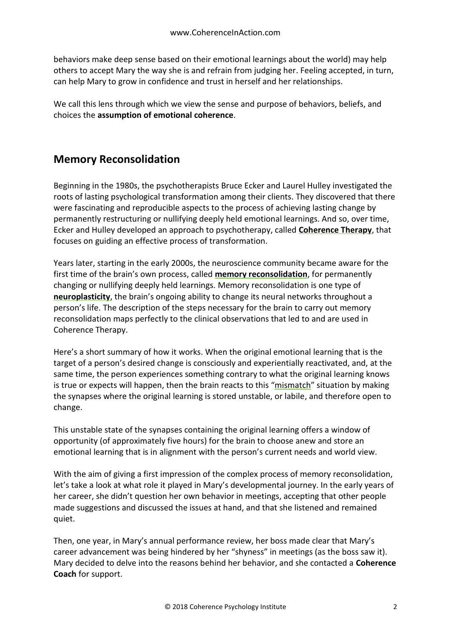behaviors make deep sense based on their emotional learnings about the world) may help others to accept Mary the way she is and refrain from judging her. Feeling accepted, in turn, can help Mary to grow in confidence and trust in herself and her relationships.

We call this lens through which we view the sense and purpose of behaviors, beliefs, and choices the **assumption of emotional coherence**.

## <span id="page-1-0"></span>**Memory Reconsolidation**

Beginning in the 1980s, the psychotherapists Bruce Ecker and Laurel Hulley investigated the roots of lasting psychological transformation among their clients. They discovered that there were fascinating and reproducible aspects to the process of achieving lasting change by permanently restructuring or nullifying deeply held emotional learnings. And so, over time, Ecker and Hulley developed an approach to psychotherapy, called **Coherence Therapy**, that focuses on guiding an effective process of transformation.

Years later, starting in the early 2000s, the neuroscience community became aware for the first time of the brain's own process, called **memory reconsolidation**, for permanently changing or nullifying deeply held learnings. Memory reconsolidation is one type of **neuroplasticity**, the brain's ongoing ability to change its neural networks throughout a person's life. The description of the steps necessary for the brain to carry out memory reconsolidation maps perfectly to the clinical observations that led to and are used in Coherence Therapy.

Here's a short summary of how it works. When the original emotional learning that is the target of a person's desired change is consciously and experientially reactivated, and, at the same time, the person experiences something contrary to what the original learning knows is true or expects will happen, then the brain reacts to this "mismatch" situation by making the synapses where the original learning is stored unstable, or labile, and therefore open to change.

This unstable state of the synapses containing the original learning offers a window of opportunity (of approximately five hours) for the brain to choose anew and store an emotional learning that is in alignment with the person's current needs and world view.

With the aim of giving a first impression of the complex process of memory reconsolidation, let's take a look at what role it played in Mary's developmental journey. In the early years of her career, she didn't question her own behavior in meetings, accepting that other people made suggestions and discussed the issues at hand, and that she listened and remained quiet.

Then, one year, in Mary's annual performance review, her boss made clear that Mary's career advancement was being hindered by her "shyness" in meetings (as the boss saw it). Mary decided to delve into the reasons behind her behavior, and she contacted a **Coherence Coach** for support.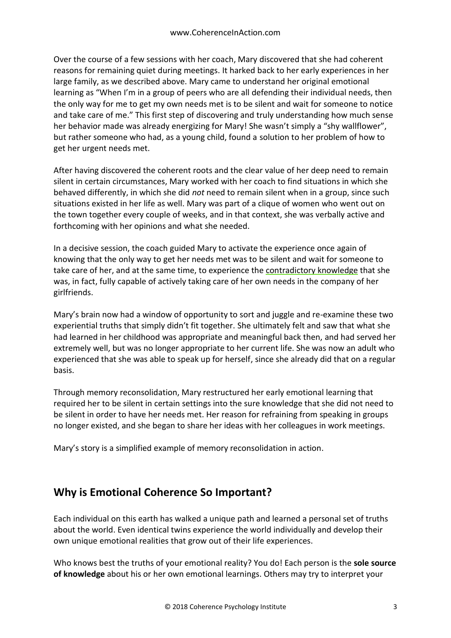Over the course of a few sessions with her coach, Mary discovered that she had coherent reasons for remaining quiet during meetings. It harked back to her early experiences in her large family, as we described above. Mary came to understand her original emotional learning as "When I'm in a group of peers who are all defending their individual needs, then the only way for me to get my own needs met is to be silent and wait for someone to notice and take care of me." This first step of discovering and truly understanding how much sense her behavior made was already energizing for Mary! She wasn't simply a "shy wallflower", but rather someone who had, as a young child, found a solution to her problem of how to get her urgent needs met.

After having discovered the coherent roots and the clear value of her deep need to remain silent in certain circumstances, Mary worked with her coach to find situations in which she behaved differently, in which she did *not* need to remain silent when in a group, since such situations existed in her life as well. Mary was part of a clique of women who went out on the town together every couple of weeks, and in that context, she was verbally active and forthcoming with her opinions and what she needed.

In a decisive session, the coach guided Mary to activate the experience once again of knowing that the only way to get her needs met was to be silent and wait for someone to take care of her, and at the same time, to experience the contradictory knowledge that she was, in fact, fully capable of actively taking care of her own needs in the company of her girlfriends.

Mary's brain now had a window of opportunity to sort and juggle and re-examine these two experiential truths that simply didn't fit together. She ultimately felt and saw that what she had learned in her childhood was appropriate and meaningful back then, and had served her extremely well, but was no longer appropriate to her current life. She was now an adult who experienced that she was able to speak up for herself, since she already did that on a regular basis.

Through memory reconsolidation, Mary restructured her early emotional learning that required her to be silent in certain settings into the sure knowledge that she did not need to be silent in order to have her needs met. Her reason for refraining from speaking in groups no longer existed, and she began to share her ideas with her colleagues in work meetings.

Mary's story is a simplified example of memory reconsolidation in action.

### <span id="page-2-0"></span>**Why is Emotional Coherence So Important?**

Each individual on this earth has walked a unique path and learned a personal set of truths about the world. Even identical twins experience the world individually and develop their own unique emotional realities that grow out of their life experiences.

Who knows best the truths of your emotional reality? You do! Each person is the **sole source of knowledge** about his or her own emotional learnings. Others may try to interpret your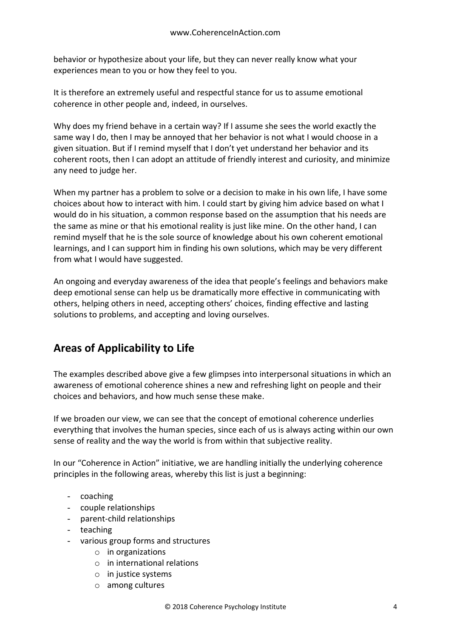behavior or hypothesize about your life, but they can never really know what your experiences mean to you or how they feel to you.

It is therefore an extremely useful and respectful stance for us to assume emotional coherence in other people and, indeed, in ourselves.

Why does my friend behave in a certain way? If I assume she sees the world exactly the same way I do, then I may be annoyed that her behavior is not what I would choose in a given situation. But if I remind myself that I don't yet understand her behavior and its coherent roots, then I can adopt an attitude of friendly interest and curiosity, and minimize any need to judge her.

When my partner has a problem to solve or a decision to make in his own life, I have some choices about how to interact with him. I could start by giving him advice based on what I would do in his situation, a common response based on the assumption that his needs are the same as mine or that his emotional reality is just like mine. On the other hand, I can remind myself that he is the sole source of knowledge about his own coherent emotional learnings, and I can support him in finding his own solutions, which may be very different from what I would have suggested.

An ongoing and everyday awareness of the idea that people's feelings and behaviors make deep emotional sense can help us be dramatically more effective in communicating with others, helping others in need, accepting others' choices, finding effective and lasting solutions to problems, and accepting and loving ourselves.

# <span id="page-3-0"></span>**Areas of Applicability to Life**

The examples described above give a few glimpses into interpersonal situations in which an awareness of emotional coherence shines a new and refreshing light on people and their choices and behaviors, and how much sense these make.

If we broaden our view, we can see that the concept of emotional coherence underlies everything that involves the human species, since each of us is always acting within our own sense of reality and the way the world is from within that subjective reality.

In our "Coherence in Action" initiative, we are handling initially the underlying coherence principles in the following areas, whereby this list is just a beginning:

- coaching
- couple relationships
- parent-child relationships
- teaching
- various group forms and structures
	- $\circ$  in organizations
	- o in international relations
	- o in justice systems
	- o among cultures